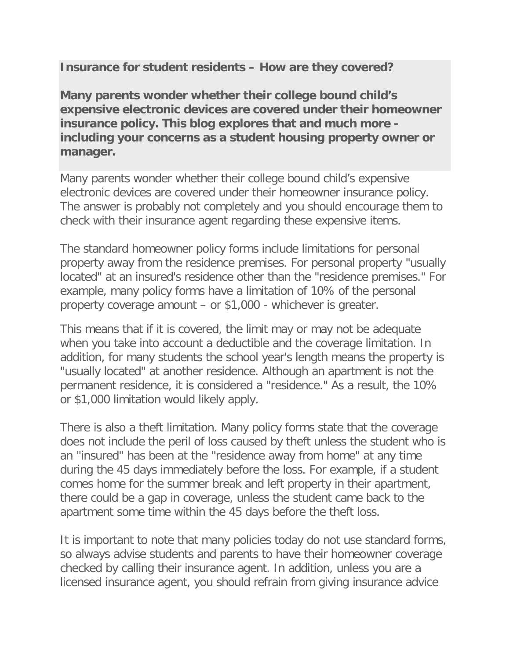**Insurance for student residents – How are they covered?**

**Many parents wonder whether their college bound child's expensive electronic devices are covered under their homeowner insurance policy. This blog explores that and much more including your concerns as a student housing property owner or manager.**

Many parents wonder whether their college bound child's expensive electronic devices are covered under their homeowner insurance policy. The answer is probably not completely and you should encourage them to check with their insurance agent regarding these expensive items.

The standard homeowner policy forms include limitations for personal property away from the residence premises. For personal property "usually located" at an insured's residence other than the "residence premises." For example, many policy forms have a limitation of 10% of the personal property coverage amount – or \$1,000 - whichever is greater.

This means that if it is covered, the limit may or may not be adequate when you take into account a deductible and the coverage limitation. In addition, for many students the school year's length means the property is "usually located" at another residence. Although an apartment is not the permanent residence, it is considered a "residence." As a result, the 10% or \$1,000 limitation would likely apply.

There is also a theft limitation. Many policy forms state that the coverage does not include the peril of loss caused by theft unless the student who is an "insured" has been at the "residence away from home" at any time during the 45 days immediately before the loss. For example, if a student comes home for the summer break and left property in their apartment, there could be a gap in coverage, unless the student came back to the apartment some time within the 45 days before the theft loss.

It is important to note that many policies today do not use standard forms, so always advise students and parents to have their homeowner coverage checked by calling their insurance agent. In addition, unless you are a licensed insurance agent, you should refrain from giving insurance advice